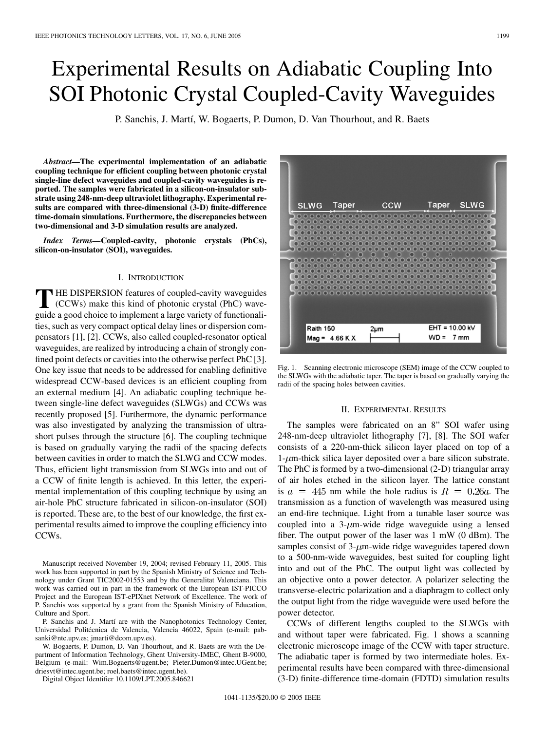# Experimental Results on Adiabatic Coupling Into SOI Photonic Crystal Coupled-Cavity Waveguides

P. Sanchis, J. Martí, W. Bogaerts, P. Dumon, D. Van Thourhout, and R. Baets

*Abstract—***The experimental implementation of an adiabatic coupling technique for efficient coupling between photonic crystal single-line defect waveguides and coupled-cavity waveguides is reported. The samples were fabricated in a silicon-on-insulator substrate using 248-nm-deep ultraviolet lithography. Experimental results are compared with three-dimensional (3-D) finite-difference time-domain simulations. Furthermore, the discrepancies between two-dimensional and 3-D simulation results are analyzed.**

*Index Terms—***Coupled-cavity, photonic crystals (PhCs), silicon-on-insulator (SOI), waveguides.**

#### I. INTRODUCTION

**T** HE DISPERSION features of coupled-cavity waveguides (CCWs) make this kind of photonic crystal (PhC) waveguide a good choice to implement a large variety of functionalities, such as very compact optical delay lines or dispersion compensators [[1\]](#page-2-0), [\[2](#page-2-0)]. CCWs, also called coupled-resonator optical waveguides, are realized by introducing a chain of strongly confined point defects or cavities into the otherwise perfect PhC [\[3](#page-2-0)]. One key issue that needs to be addressed for enabling definitive widespread CCW-based devices is an efficient coupling from an external medium [\[4](#page-2-0)]. An adiabatic coupling technique between single-line defect waveguides (SLWGs) and CCWs was recently proposed [\[5](#page-2-0)]. Furthermore, the dynamic performance was also investigated by analyzing the transmission of ultrashort pulses through the structure [[6\]](#page-2-0). The coupling technique is based on gradually varying the radii of the spacing defects between cavities in order to match the SLWG and CCW modes. Thus, efficient light transmission from SLWGs into and out of a CCW of finite length is achieved. In this letter, the experimental implementation of this coupling technique by using an air-hole PhC structure fabricated in silicon-on-insulator (SOI) is reported. These are, to the best of our knowledge, the first experimental results aimed to improve the coupling efficiency into CCWs.

Manuscript received November 19, 2004; revised February 11, 2005. This work has been supported in part by the Spanish Ministry of Science and Technology under Grant TIC2002-01553 and by the Generalitat Valenciana. This work was carried out in part in the framework of the European IST-PICCO Project and the European IST-ePIXnet Network of Excellence. The work of P. Sanchis was supported by a grant from the Spanish Ministry of Education, Culture and Sport.

P. Sanchis and J. Martí are with the Nanophotonics Technology Center, Universidad Politécnica de Valencia, Valencia 46022, Spain (e-mail: pabsanki@ntc.upv.es; jmarti@dcom.upv.es).

W. Bogaerts, P. Dumon, D. Van Thourhout, and R. Baets are with the Department of Information Technology, Ghent University-IMEC, Ghent B-9000, Belgium (e-mail: Wim.Bogaerts@ugent.be; Pieter.Dumon@intec.UGent.be; driesvt@intec.ugent.be; roel.baets@intec.ugent.be).

Digital Object Identifier 10.1109/LPT.2005.846621



Fig. 1. Scanning electronic microscope (SEM) image of the CCW coupled to the SLWGs with the adiabatic taper. The taper is based on gradually varying the radii of the spacing holes between cavities.

### II. EXPERIMENTAL RESULTS

The samples were fabricated on an 8" SOI wafer using 248-nm-deep ultraviolet lithography [[7\]](#page-2-0), [[8\]](#page-2-0). The SOI wafer consists of a 220-nm-thick silicon layer placed on top of a  $1-\mu$ m-thick silica layer deposited over a bare silicon substrate. The PhC is formed by a two-dimensional (2-D) triangular array of air holes etched in the silicon layer. The lattice constant is  $a = 445$  nm while the hole radius is  $R = 0.26a$ . The transmission as a function of wavelength was measured using an end-fire technique. Light from a tunable laser source was coupled into a  $3$ - $\mu$ m-wide ridge waveguide using a lensed fiber. The output power of the laser was 1 mW (0 dBm). The samples consist of  $3-\mu$ m-wide ridge waveguides tapered down to a 500-nm-wide waveguides, best suited for coupling light into and out of the PhC. The output light was collected by an objective onto a power detector. A polarizer selecting the transverse-electric polarization and a diaphragm to collect only the output light from the ridge waveguide were used before the power detector.

CCWs of different lengths coupled to the SLWGs with and without taper were fabricated. Fig. 1 shows a scanning electronic microscope image of the CCW with taper structure. The adiabatic taper is formed by two intermediate holes. Experimental results have been compared with three-dimensional (3-D) finite-difference time-domain (FDTD) simulation results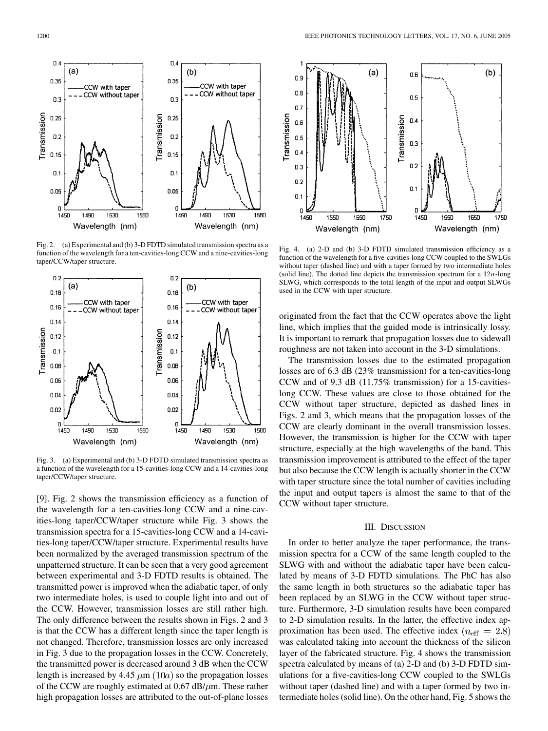

Fig. 2. (a) Experimental and (b) 3-D FDTD simulated transmission spectra as a function of the wavelength for a ten-cavities-long CCW and a nine-cavities-long taper/CCW/taper structure.



Fig. 3. (a) Experimental and (b) 3-D FDTD simulated transmission spectra as a function of the wavelength for a 15-cavities-long CCW and a 14-cavities-long taper/CCW/taper structure.

[[9\]](#page-2-0). Fig. 2 shows the transmission efficiency as a function of the wavelength for a ten-cavities-long CCW and a nine-cavities-long taper/CCW/taper structure while Fig. 3 shows the transmission spectra for a 15-cavities-long CCW and a 14-cavities-long taper/CCW/taper structure. Experimental results have been normalized by the averaged transmission spectrum of the unpatterned structure. It can be seen that a very good agreement between experimental and 3-D FDTD results is obtained. The transmitted power is improved when the adiabatic taper, of only two intermediate holes, is used to couple light into and out of the CCW. However, transmission losses are still rather high. The only difference between the results shown in Figs. 2 and 3 is that the CCW has a different length since the taper length is not changed. Therefore, transmission losses are only increased in Fig. 3 due to the propagation losses in the CCW. Concretely, the transmitted power is decreased around 3 dB when the CCW length is increased by 4.45  $\mu$ m (10*a*) so the propagation losses of the CCW are roughly estimated at  $0.67$  dB/ $\mu$ m. These rather high propagation losses are attributed to the out-of-plane losses



Fig. 4. (a) 2-D and (b) 3-D FDTD simulated transmission efficiency as a function of the wavelength for a five-cavities-long CCW coupled to the SWLGs without taper (dashed line) and with a taper formed by two intermediate holes (solid line). The dotted line depicts the transmission spectrum for a  $12a$ -long SLWG, which corresponds to the total length of the input and output SLWGs used in the CCW with taper structure.

originated from the fact that the CCW operates above the light line, which implies that the guided mode is intrinsically lossy. It is important to remark that propagation losses due to sidewall roughness are not taken into account in the 3-D simulations.

The transmission losses due to the estimated propagation losses are of 6.3 dB (23% transmission) for a ten-cavities-long CCW and of 9.3 dB (11.75% transmission) for a 15-cavitieslong CCW. These values are close to those obtained for the CCW without taper structure, depicted as dashed lines in Figs. 2 and 3, which means that the propagation losses of the CCW are clearly dominant in the overall transmission losses. However, the transmission is higher for the CCW with taper structure, especially at the high wavelengths of the band. This transmission improvement is attributed to the effect of the taper but also because the CCW length is actually shorter in the CCW with taper structure since the total number of cavities including the input and output tapers is almost the same to that of the CCW without taper structure.

## III. DISCUSSION

In order to better analyze the taper performance, the transmission spectra for a CCW of the same length coupled to the SLWG with and without the adiabatic taper have been calculated by means of 3-D FDTD simulations. The PhC has also the same length in both structures so the adiabatic taper has been replaced by an SLWG in the CCW without taper structure. Furthermore, 3-D simulation results have been compared to 2-D simulation results. In the latter, the effective index approximation has been used. The effective index ( $n_{\text{eff}} = 2.8$ ) was calculated taking into account the thickness of the silicon layer of the fabricated structure. Fig. 4 shows the transmission spectra calculated by means of (a) 2-D and (b) 3-D FDTD simulations for a five-cavities-long CCW coupled to the SWLGs without taper (dashed line) and with a taper formed by two intermediate holes (solid line). On the other hand, Fig. 5 shows the